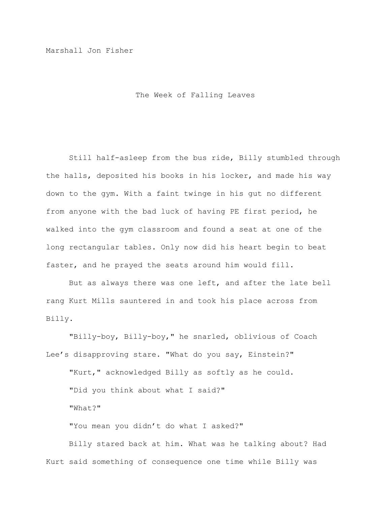Marshall Jon Fisher

The Week of Falling Leaves

Still half-asleep from the bus ride, Billy stumbled through the halls, deposited his books in his locker, and made his way down to the gym. With a faint twinge in his gut no different from anyone with the bad luck of having PE first period, he walked into the gym classroom and found a seat at one of the long rectangular tables. Only now did his heart begin to beat faster, and he prayed the seats around him would fill.

But as always there was one left, and after the late bell rang Kurt Mills sauntered in and took his place across from Billy.

"Billy-boy, Billy-boy," he snarled, oblivious of Coach Lee's disapproving stare. "What do you say, Einstein?"

"Kurt," acknowledged Billy as softly as he could. "Did you think about what I said?"

"What?"

"You mean you didn't do what I asked?"

Billy stared back at him. What was he talking about? Had Kurt said something of consequence one time while Billy was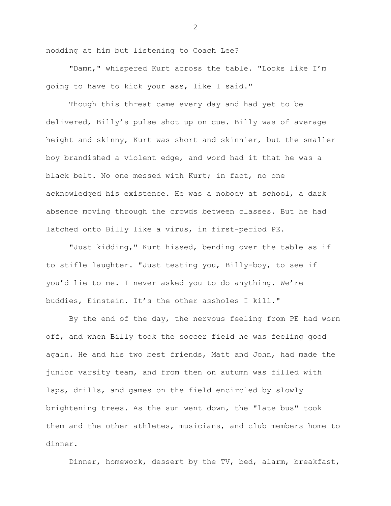nodding at him but listening to Coach Lee?

"Damn," whispered Kurt across the table. "Looks like I'm going to have to kick your ass, like I said."

Though this threat came every day and had yet to be delivered, Billy's pulse shot up on cue. Billy was of average height and skinny, Kurt was short and skinnier, but the smaller boy brandished a violent edge, and word had it that he was a black belt. No one messed with Kurt; in fact, no one acknowledged his existence. He was a nobody at school, a dark absence moving through the crowds between classes. But he had latched onto Billy like a virus, in first-period PE.

"Just kidding," Kurt hissed, bending over the table as if to stifle laughter. "Just testing you, Billy-boy, to see if you'd lie to me. I never asked you to do anything. We're buddies, Einstein. It's the other assholes I kill."

By the end of the day, the nervous feeling from PE had worn off, and when Billy took the soccer field he was feeling good again. He and his two best friends, Matt and John, had made the junior varsity team, and from then on autumn was filled with laps, drills, and games on the field encircled by slowly brightening trees. As the sun went down, the "late bus" took them and the other athletes, musicians, and club members home to dinner.

Dinner, homework, dessert by the TV, bed, alarm, breakfast,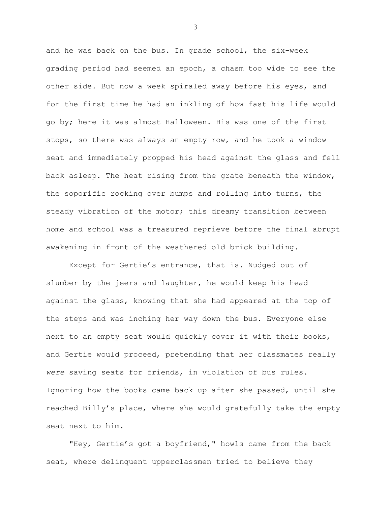and he was back on the bus. In grade school, the six-week grading period had seemed an epoch, a chasm too wide to see the other side. But now a week spiraled away before his eyes, and for the first time he had an inkling of how fast his life would go by; here it was almost Halloween. His was one of the first stops, so there was always an empty row, and he took a window seat and immediately propped his head against the glass and fell back asleep. The heat rising from the grate beneath the window, the soporific rocking over bumps and rolling into turns, the steady vibration of the motor; this dreamy transition between home and school was a treasured reprieve before the final abrupt awakening in front of the weathered old brick building.

Except for Gertie's entrance, that is. Nudged out of slumber by the jeers and laughter, he would keep his head against the glass, knowing that she had appeared at the top of the steps and was inching her way down the bus. Everyone else next to an empty seat would quickly cover it with their books, and Gertie would proceed, pretending that her classmates really *were* saving seats for friends, in violation of bus rules. Ignoring how the books came back up after she passed, until she reached Billy's place, where she would gratefully take the empty seat next to him.

"Hey, Gertie's got a boyfriend," howls came from the back seat, where delinquent upperclassmen tried to believe they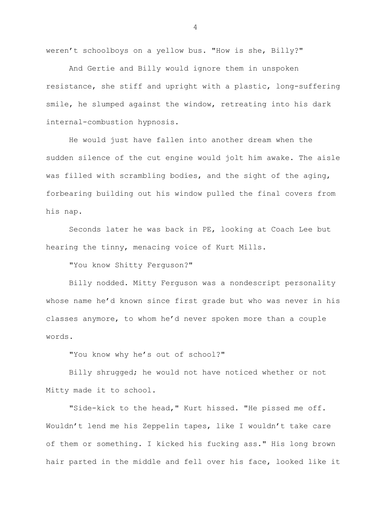weren't schoolboys on a yellow bus. "How is she, Billy?"

And Gertie and Billy would ignore them in unspoken resistance, she stiff and upright with a plastic, long-suffering smile, he slumped against the window, retreating into his dark internal-combustion hypnosis.

He would just have fallen into another dream when the sudden silence of the cut engine would jolt him awake. The aisle was filled with scrambling bodies, and the sight of the aging, forbearing building out his window pulled the final covers from his nap.

Seconds later he was back in PE, looking at Coach Lee but hearing the tinny, menacing voice of Kurt Mills.

"You know Shitty Ferguson?"

Billy nodded. Mitty Ferguson was a nondescript personality whose name he'd known since first grade but who was never in his classes anymore, to whom he'd never spoken more than a couple words.

"You know why he's out of school?"

Billy shrugged; he would not have noticed whether or not Mitty made it to school.

"Side-kick to the head," Kurt hissed. "He pissed me off. Wouldn't lend me his Zeppelin tapes, like I wouldn't take care of them or something. I kicked his fucking ass." His long brown hair parted in the middle and fell over his face, looked like it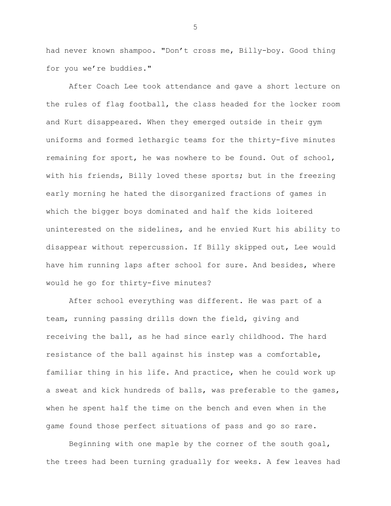had never known shampoo. "Don't cross me, Billy-boy. Good thing for you we're buddies."

After Coach Lee took attendance and gave a short lecture on the rules of flag football, the class headed for the locker room and Kurt disappeared. When they emerged outside in their gym uniforms and formed lethargic teams for the thirty-five minutes remaining for sport, he was nowhere to be found. Out of school, with his friends, Billy loved these sports; but in the freezing early morning he hated the disorganized fractions of games in which the bigger boys dominated and half the kids loitered uninterested on the sidelines, and he envied Kurt his ability to disappear without repercussion. If Billy skipped out, Lee would have him running laps after school for sure. And besides, where would he go for thirty-five minutes?

After school everything was different. He was part of a team, running passing drills down the field, giving and receiving the ball, as he had since early childhood. The hard resistance of the ball against his instep was a comfortable, familiar thing in his life. And practice, when he could work up a sweat and kick hundreds of balls, was preferable to the games, when he spent half the time on the bench and even when in the game found those perfect situations of pass and go so rare.

Beginning with one maple by the corner of the south goal, the trees had been turning gradually for weeks. A few leaves had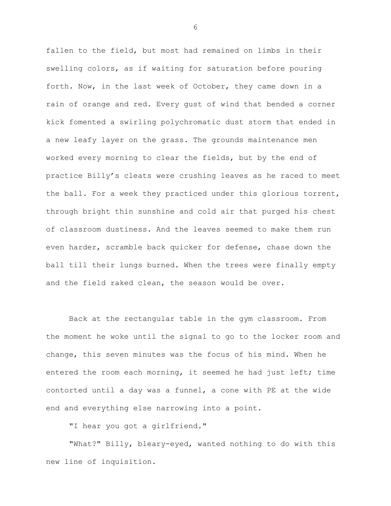fallen to the field, but most had remained on limbs in their swelling colors, as if waiting for saturation before pouring forth. Now, in the last week of October, they came down in a rain of orange and red. Every gust of wind that bended a corner kick fomented a swirling polychromatic dust storm that ended in a new leafy layer on the grass. The grounds maintenance men worked every morning to clear the fields, but by the end of practice Billy's cleats were crushing leaves as he raced to meet the ball. For a week they practiced under this glorious torrent, through bright thin sunshine and cold air that purged his chest of classroom dustiness. And the leaves seemed to make them run even harder, scramble back quicker for defense, chase down the ball till their lungs burned. When the trees were finally empty and the field raked clean, the season would be over.

Back at the rectangular table in the gym classroom. From the moment he woke until the signal to go to the locker room and change, this seven minutes was the focus of his mind. When he entered the room each morning, it seemed he had just left; time contorted until a day was a funnel, a cone with PE at the wide end and everything else narrowing into a point.

"I hear you got a girlfriend."

"What?" Billy, bleary-eyed, wanted nothing to do with this new line of inquisition.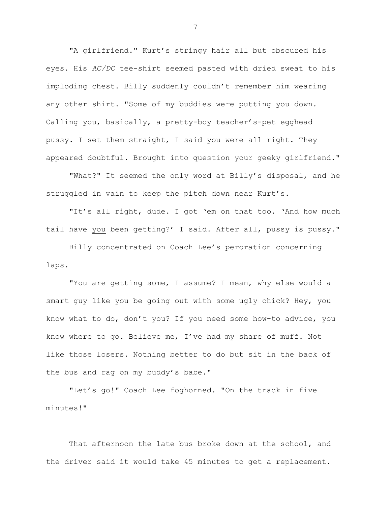"A girlfriend." Kurt's stringy hair all but obscured his eyes. His *AC/DC* tee-shirt seemed pasted with dried sweat to his imploding chest. Billy suddenly couldn't remember him wearing any other shirt. "Some of my buddies were putting you down. Calling you, basically, a pretty-boy teacher's-pet egghead pussy. I set them straight, I said you were all right. They appeared doubtful. Brought into question your geeky girlfriend."

"What?" It seemed the only word at Billy's disposal, and he struggled in vain to keep the pitch down near Kurt's.

"It's all right, dude. I got 'em on that too. 'And how much tail have you been getting?' I said. After all, pussy is pussy."

Billy concentrated on Coach Lee's peroration concerning laps.

"You are getting some, I assume? I mean, why else would a smart guy like you be going out with some ugly chick? Hey, you know what to do, don't you? If you need some how-to advice, you know where to go. Believe me, I've had my share of muff. Not like those losers. Nothing better to do but sit in the back of the bus and rag on my buddy's babe."

"Let's go!" Coach Lee foghorned. "On the track in five minutes!"

That afternoon the late bus broke down at the school, and the driver said it would take 45 minutes to get a replacement.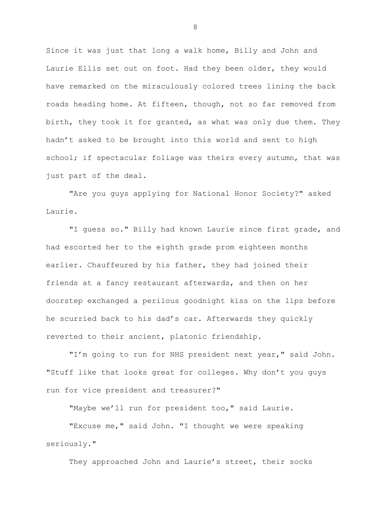Since it was just that long a walk home, Billy and John and Laurie Ellis set out on foot. Had they been older, they would have remarked on the miraculously colored trees lining the back roads heading home. At fifteen, though, not so far removed from birth, they took it for granted, as what was only due them. They hadn't asked to be brought into this world and sent to high school; if spectacular foliage was theirs every autumn, that was just part of the deal.

"Are you guys applying for National Honor Society?" asked Laurie.

"I guess so." Billy had known Laurie since first grade, and had escorted her to the eighth grade prom eighteen months earlier. Chauffeured by his father, they had joined their friends at a fancy restaurant afterwards, and then on her doorstep exchanged a perilous goodnight kiss on the lips before he scurried back to his dad's car. Afterwards they quickly reverted to their ancient, platonic friendship.

"I'm going to run for NHS president next year," said John. "Stuff like that looks great for colleges. Why don't you guys run for vice president and treasurer?"

"Maybe we'll run for president too," said Laurie.

"Excuse me," said John. "I thought we were speaking seriously."

They approached John and Laurie's street, their socks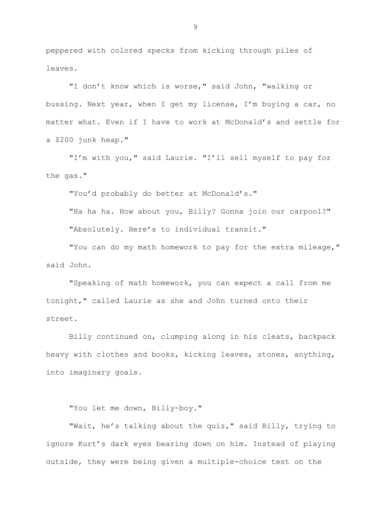peppered with colored specks from kicking through piles of leaves.

"I don't know which is worse," said John, "walking or bussing. Next year, when I get my license, I'm buying a car, no matter what. Even if I have to work at McDonald's and settle for a \$200 junk heap."

"I'm with you," said Laurie. "I'll sell myself to pay for the gas."

"You'd probably do better at McDonald's."

"Ha ha ha. How about you, Billy? Gonna join our carpool?" "Absolutely. Here's to individual transit."

"You can do my math homework to pay for the extra mileage," said John.

"Speaking of math homework, you can expect a call from me tonight," called Laurie as she and John turned onto their street.

Billy continued on, clumping along in his cleats, backpack heavy with clothes and books, kicking leaves, stones, anything, into imaginary goals.

"You let me down, Billy-boy."

"Wait, he's talking about the quiz," said Billy, trying to ignore Kurt's dark eyes bearing down on him. Instead of playing outside, they were being given a multiple-choice test on the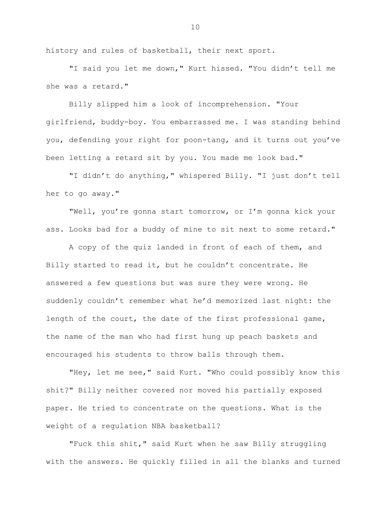history and rules of basketball, their next sport.

"I said you let me down," Kurt hissed. "You didn't tell me she was a retard."

Billy slipped him a look of incomprehension. "Your girlfriend, buddy-boy. You embarrassed me. I was standing behind you, defending your right for poon-tang, and it turns out you've been letting a retard sit by you. You made me look bad."

"I didn't do anything," whispered Billy. "I just don't tell her to go away."

"Well, you're gonna start tomorrow, or I'm gonna kick your ass. Looks bad for a buddy of mine to sit next to some retard."

A copy of the quiz landed in front of each of them, and Billy started to read it, but he couldn't concentrate. He answered a few questions but was sure they were wrong. He suddenly couldn't remember what he'd memorized last night: the length of the court, the date of the first professional game, the name of the man who had first hung up peach baskets and encouraged his students to throw balls through them.

"Hey, let me see," said Kurt. "Who could possibly know this shit?" Billy neither covered nor moved his partially exposed paper. He tried to concentrate on the questions. What is the weight of a regulation NBA basketball?

"Fuck this shit," said Kurt when he saw Billy struggling with the answers. He quickly filled in all the blanks and turned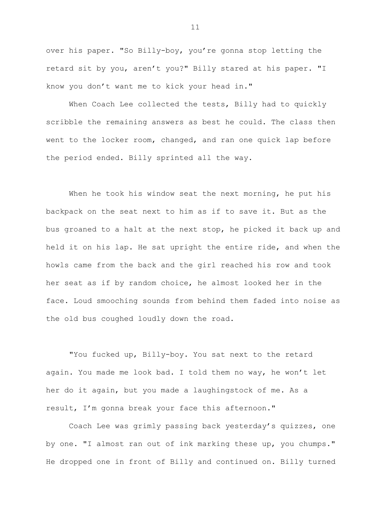over his paper. "So Billy-boy, you're gonna stop letting the retard sit by you, aren't you?" Billy stared at his paper. "I know you don't want me to kick your head in."

When Coach Lee collected the tests, Billy had to quickly scribble the remaining answers as best he could. The class then went to the locker room, changed, and ran one quick lap before the period ended. Billy sprinted all the way.

When he took his window seat the next morning, he put his backpack on the seat next to him as if to save it. But as the bus groaned to a halt at the next stop, he picked it back up and held it on his lap. He sat upright the entire ride, and when the howls came from the back and the girl reached his row and took her seat as if by random choice, he almost looked her in the face. Loud smooching sounds from behind them faded into noise as the old bus coughed loudly down the road.

"You fucked up, Billy-boy. You sat next to the retard again. You made me look bad. I told them no way, he won't let her do it again, but you made a laughingstock of me. As a result, I'm gonna break your face this afternoon."

Coach Lee was grimly passing back yesterday's quizzes, one by one. "I almost ran out of ink marking these up, you chumps." He dropped one in front of Billy and continued on. Billy turned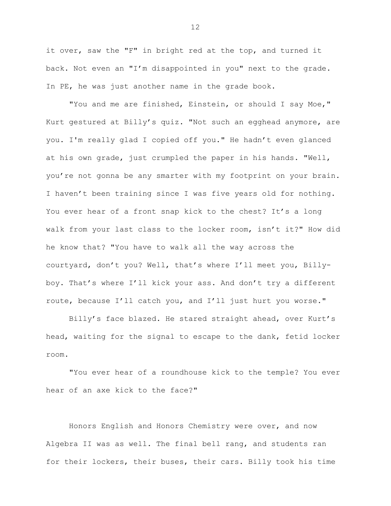it over, saw the "F" in bright red at the top, and turned it back. Not even an "I'm disappointed in you" next to the grade. In PE, he was just another name in the grade book.

"You and me are finished, Einstein, or should I say Moe," Kurt gestured at Billy's quiz. "Not such an egghead anymore, are you. I'm really glad I copied off you." He hadn't even glanced at his own grade, just crumpled the paper in his hands. "Well, you're not gonna be any smarter with my footprint on your brain. I haven't been training since I was five years old for nothing. You ever hear of a front snap kick to the chest? It's a long walk from your last class to the locker room, isn't it?" How did he know that? "You have to walk all the way across the courtyard, don't you? Well, that's where I'll meet you, Billyboy. That's where I'll kick your ass. And don't try a different route, because I'll catch you, and I'll just hurt you worse."

Billy's face blazed. He stared straight ahead, over Kurt's head, waiting for the signal to escape to the dank, fetid locker room.

"You ever hear of a roundhouse kick to the temple? You ever hear of an axe kick to the face?"

Honors English and Honors Chemistry were over, and now Algebra II was as well. The final bell rang, and students ran for their lockers, their buses, their cars. Billy took his time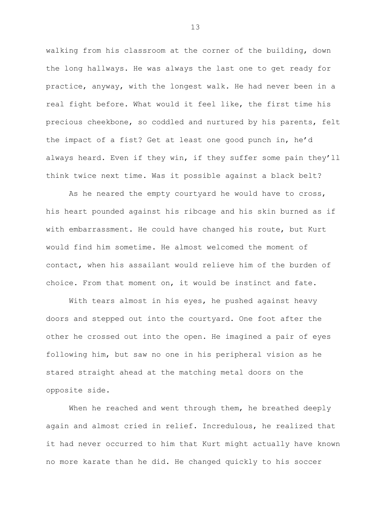walking from his classroom at the corner of the building, down the long hallways. He was always the last one to get ready for practice, anyway, with the longest walk. He had never been in a real fight before. What would it feel like, the first time his precious cheekbone, so coddled and nurtured by his parents, felt the impact of a fist? Get at least one good punch in, he'd always heard. Even if they win, if they suffer some pain they'll think twice next time. Was it possible against a black belt?

As he neared the empty courtyard he would have to cross, his heart pounded against his ribcage and his skin burned as if with embarrassment. He could have changed his route, but Kurt would find him sometime. He almost welcomed the moment of contact, when his assailant would relieve him of the burden of choice. From that moment on, it would be instinct and fate.

With tears almost in his eyes, he pushed against heavy doors and stepped out into the courtyard. One foot after the other he crossed out into the open. He imagined a pair of eyes following him, but saw no one in his peripheral vision as he stared straight ahead at the matching metal doors on the opposite side.

When he reached and went through them, he breathed deeply again and almost cried in relief. Incredulous, he realized that it had never occurred to him that Kurt might actually have known no more karate than he did. He changed quickly to his soccer